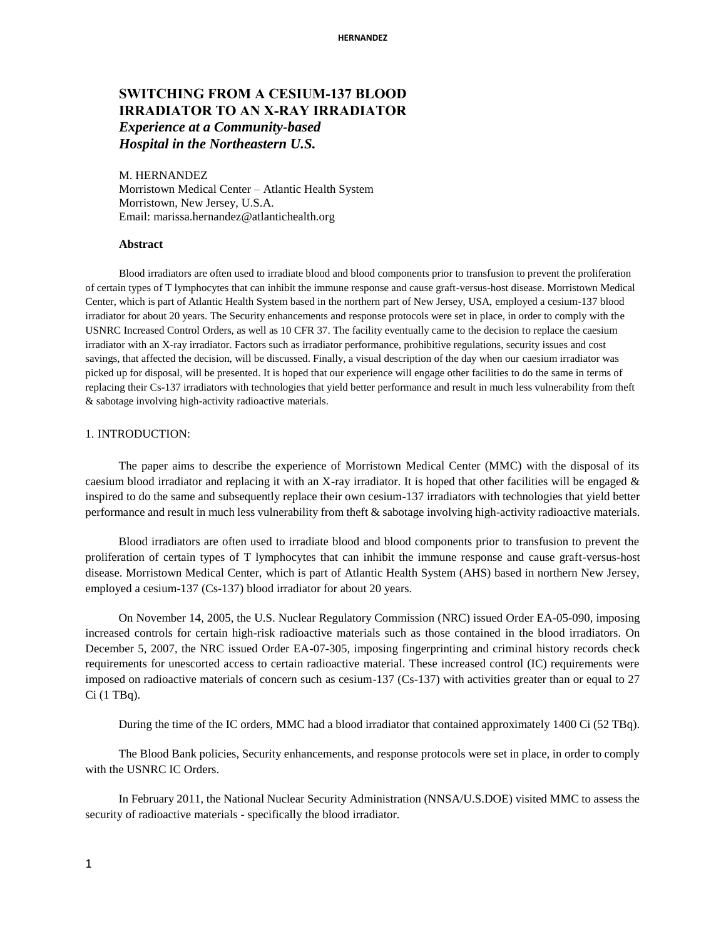# **SWITCHING FROM A CESIUM-137 BLOOD IRRADIATOR TO AN X-RAY IRRADIATOR**  *Experience at a Community-based Hospital in the Northeastern U.S.*

#### M. HERNANDEZ

Morristown Medical Center – Atlantic Health System Morristown, New Jersey, U.S.A. Email: [marissa.hernandez@atlantichealth.org](mailto:marissa.hernandez@atlantichealth.org)

#### **Abstract**

Blood irradiators are often used to irradiate blood and blood components prior to transfusion to prevent the proliferation of certain types of T lymphocytes that can inhibit the immune response and cause graft-versus-host disease. Morristown Medical Center, which is part of Atlantic Health System based in the northern part of New Jersey, USA, employed a cesium-137 blood irradiator for about 20 years. The Security enhancements and response protocols were set in place, in order to comply with the USNRC Increased Control Orders, as well as 10 CFR 37. The facility eventually came to the decision to replace the caesium irradiator with an X-ray irradiator. Factors such as irradiator performance, prohibitive regulations, security issues and cost savings, that affected the decision, will be discussed. Finally, a visual description of the day when our caesium irradiator was picked up for disposal, will be presented. It is hoped that our experience will engage other facilities to do the same in terms of replacing their Cs-137 irradiators with technologies that yield better performance and result in much less vulnerability from theft & sabotage involving high-activity radioactive materials.

#### 1. INTRODUCTION:

The paper aims to describe the experience of Morristown Medical Center (MMC) with the disposal of its caesium blood irradiator and replacing it with an X-ray irradiator. It is hoped that other facilities will be engaged  $\&$ inspired to do the same and subsequently replace their own cesium-137 irradiators with technologies that yield better performance and result in much less vulnerability from theft & sabotage involving high-activity radioactive materials.

Blood irradiators are often used to irradiate blood and blood components prior to transfusion to prevent the proliferation of certain types of T lymphocytes that can inhibit the immune response and cause graft-versus-host disease. Morristown Medical Center, which is part of Atlantic Health System (AHS) based in northern New Jersey, employed a cesium-137 (Cs-137) blood irradiator for about 20 years.

On November 14, 2005, the U.S. Nuclear Regulatory Commission (NRC) issued Order EA-05-090, imposing increased controls for certain high-risk radioactive materials such as those contained in the blood irradiators. On December 5, 2007, the NRC issued Order EA-07-305, imposing fingerprinting and criminal history records check requirements for unescorted access to certain radioactive material. These increased control (IC) requirements were imposed on radioactive materials of concern such as cesium-137 (Cs-137) with activities greater than or equal to 27 Ci (1 TBq).

During the time of the IC orders, MMC had a blood irradiator that contained approximately 1400 Ci (52 TBq).

The Blood Bank policies, Security enhancements, and response protocols were set in place, in order to comply with the USNRC IC Orders.

In February 2011, the National Nuclear Security Administration (NNSA/U.S.DOE) visited MMC to assess the security of radioactive materials - specifically the blood irradiator.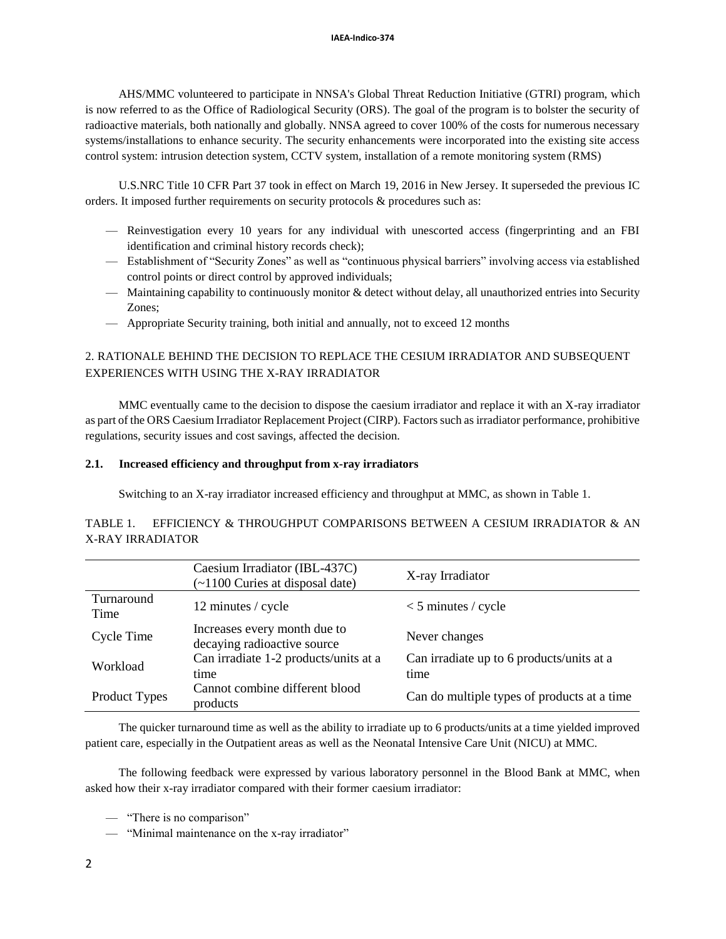AHS/MMC volunteered to participate in NNSA's Global Threat Reduction Initiative (GTRI) program, which is now referred to as the Office of Radiological Security (ORS). The goal of the program is to bolster the security of radioactive materials, both nationally and globally. NNSA agreed to cover 100% of the costs for numerous necessary systems/installations to enhance security. The security enhancements were incorporated into the existing site access control system: intrusion detection system, CCTV system, installation of a remote monitoring system (RMS)

U.S.NRC Title 10 CFR Part 37 took in effect on March 19, 2016 in New Jersey. It superseded the previous IC orders. It imposed further requirements on security protocols & procedures such as:

- Reinvestigation every 10 years for any individual with unescorted access (fingerprinting and an FBI identification and criminal history records check);
- Establishment of "Security Zones" as well as "continuous physical barriers" involving access via established control points or direct control by approved individuals;
- Maintaining capability to continuously monitor & detect without delay, all unauthorized entries into Security Zones;
- Appropriate Security training, both initial and annually, not to exceed 12 months

# 2. RATIONALE BEHIND THE DECISION TO REPLACE THE CESIUM IRRADIATOR AND SUBSEQUENT EXPERIENCES WITH USING THE X-RAY IRRADIATOR

MMC eventually came to the decision to dispose the caesium irradiator and replace it with an X-ray irradiator as part of the ORS Caesium Irradiator Replacement Project (CIRP). Factors such as irradiator performance, prohibitive regulations, security issues and cost savings, affected the decision.

### **2.1. Increased efficiency and throughput from x-ray irradiators**

Switching to an X-ray irradiator increased efficiency and throughput at MMC, as shown in Table 1.

# TABLE 1. EFFICIENCY & THROUGHPUT COMPARISONS BETWEEN A CESIUM IRRADIATOR & AN X-RAY IRRADIATOR

|                    | Caesium Irradiator (IBL-437C)<br>$($ ~1100 Curies at disposal date) | X-ray Irradiator                                  |
|--------------------|---------------------------------------------------------------------|---------------------------------------------------|
| Turnaround<br>Time | 12 minutes / cycle                                                  | $<$ 5 minutes / cycle                             |
| Cycle Time         | Increases every month due to<br>decaying radioactive source         | Never changes                                     |
| Workload           | Can irradiate 1-2 products/units at a<br>time                       | Can irradiate up to 6 products/units at a<br>time |
| Product Types      | Cannot combine different blood<br>products                          | Can do multiple types of products at a time       |

The quicker turnaround time as well as the ability to irradiate up to 6 products/units at a time yielded improved patient care, especially in the Outpatient areas as well as the Neonatal Intensive Care Unit (NICU) at MMC.

The following feedback were expressed by various laboratory personnel in the Blood Bank at MMC, when asked how their x-ray irradiator compared with their former caesium irradiator:

— "There is no comparison"

— "Minimal maintenance on the x-ray irradiator"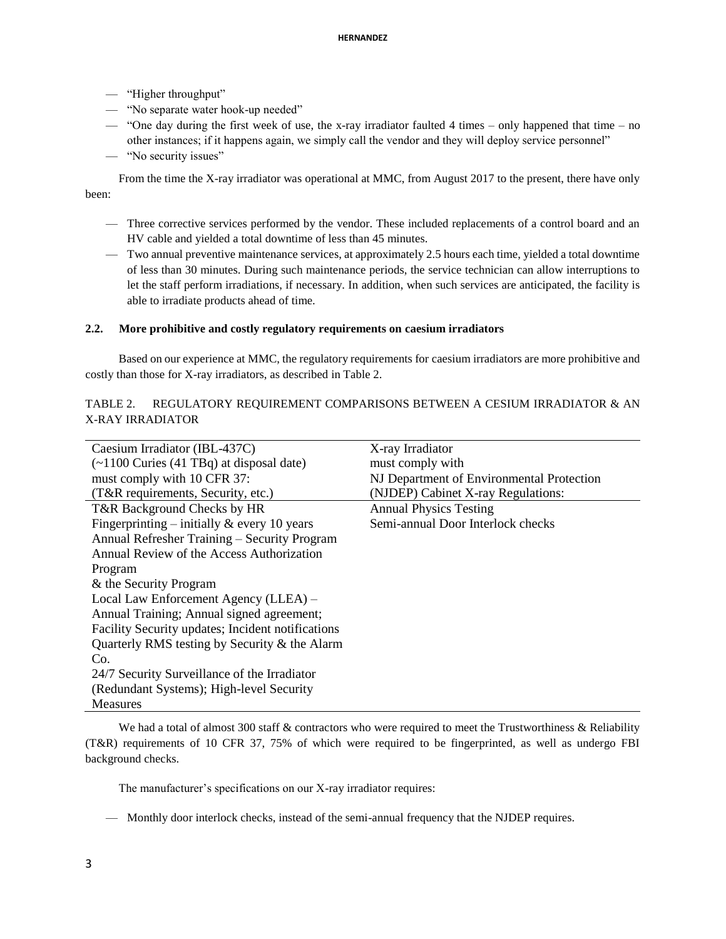- "Higher throughput"
- "No separate water hook-up needed"
- "One day during the first week of use, the x-ray irradiator faulted 4 times only happened that time no other instances; if it happens again, we simply call the vendor and they will deploy service personnel"
- "No security issues"

From the time the X-ray irradiator was operational at MMC, from August 2017 to the present, there have only been:

- Three corrective services performed by the vendor. These included replacements of a control board and an HV cable and yielded a total downtime of less than 45 minutes.
- Two annual preventive maintenance services, at approximately 2.5 hours each time, yielded a total downtime of less than 30 minutes. During such maintenance periods, the service technician can allow interruptions to let the staff perform irradiations, if necessary. In addition, when such services are anticipated, the facility is able to irradiate products ahead of time.

### **2.2. More prohibitive and costly regulatory requirements on caesium irradiators**

Based on our experience at MMC, the regulatory requirements for caesium irradiators are more prohibitive and costly than those for X-ray irradiators, as described in Table 2.

# TABLE 2. REGULATORY REQUIREMENT COMPARISONS BETWEEN A CESIUM IRRADIATOR & AN X-RAY IRRADIATOR

| Caesium Irradiator (IBL-437C)                     | X-ray Irradiator                          |  |
|---------------------------------------------------|-------------------------------------------|--|
| $(\sim 1100$ Curies (41 TBq) at disposal date)    | must comply with                          |  |
| must comply with 10 CFR 37:                       | NJ Department of Environmental Protection |  |
| (T&R requirements, Security, etc.)                | (NJDEP) Cabinet X-ray Regulations:        |  |
| T&R Background Checks by HR                       | <b>Annual Physics Testing</b>             |  |
| Fingerprinting – initially $\&$ every 10 years    | Semi-annual Door Interlock checks         |  |
| Annual Refresher Training - Security Program      |                                           |  |
| Annual Review of the Access Authorization         |                                           |  |
| Program                                           |                                           |  |
| & the Security Program                            |                                           |  |
| Local Law Enforcement Agency (LLEA) -             |                                           |  |
| Annual Training; Annual signed agreement;         |                                           |  |
| Facility Security updates; Incident notifications |                                           |  |
| Quarterly RMS testing by Security & the Alarm     |                                           |  |
| Co.                                               |                                           |  |
| 24/7 Security Surveillance of the Irradiator      |                                           |  |
| (Redundant Systems); High-level Security          |                                           |  |
| <b>Measures</b>                                   |                                           |  |

We had a total of almost 300 staff & contractors who were required to meet the Trustworthiness & Reliability (T&R) requirements of 10 CFR 37, 75% of which were required to be fingerprinted, as well as undergo FBI background checks.

The manufacturer's specifications on our X-ray irradiator requires:

— Monthly door interlock checks, instead of the semi-annual frequency that the NJDEP requires.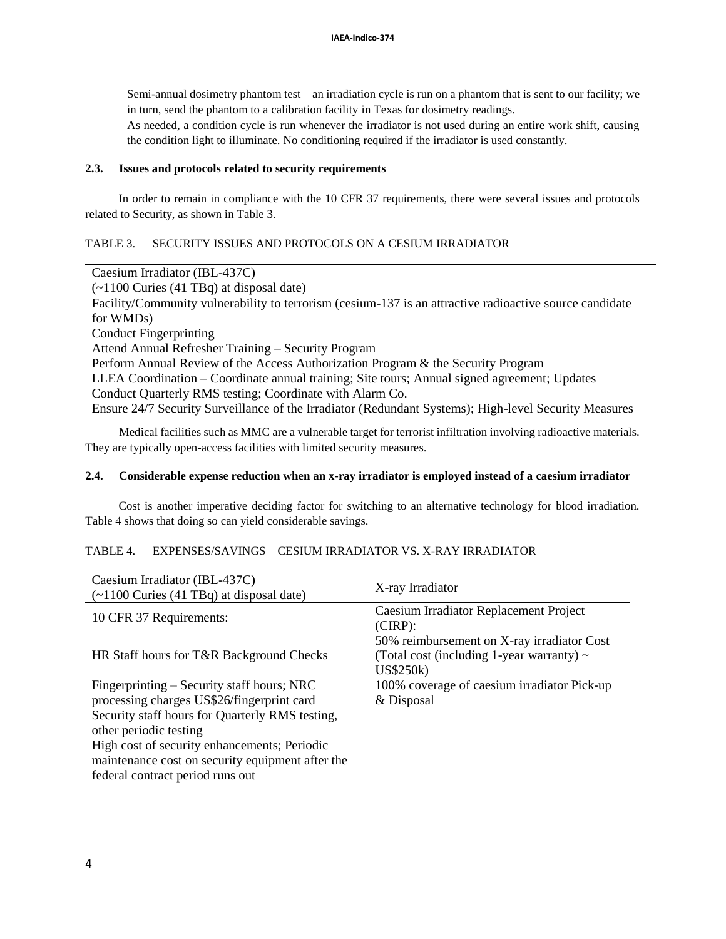- Semi-annual dosimetry phantom test an irradiation cycle is run on a phantom that is sent to our facility; we in turn, send the phantom to a calibration facility in Texas for dosimetry readings.
- As needed, a condition cycle is run whenever the irradiator is not used during an entire work shift, causing the condition light to illuminate. No conditioning required if the irradiator is used constantly.

### **2.3. Issues and protocols related to security requirements**

In order to remain in compliance with the 10 CFR 37 requirements, there were several issues and protocols related to Security, as shown in Table 3.

# TABLE 3. SECURITY ISSUES AND PROTOCOLS ON A CESIUM IRRADIATOR

| Caesium Irradiator (IBL-437C)                                                                           |  |  |
|---------------------------------------------------------------------------------------------------------|--|--|
| $\sim$ 1100 Curies (41 TBq) at disposal date)                                                           |  |  |
| Facility/Community vulnerability to terrorism (cesium-137 is an attractive radioactive source candidate |  |  |
| for WMDs)                                                                                               |  |  |
| <b>Conduct Fingerprinting</b>                                                                           |  |  |
| Attend Annual Refresher Training – Security Program                                                     |  |  |
| Perform Annual Review of the Access Authorization Program & the Security Program                        |  |  |
| LLEA Coordination – Coordinate annual training; Site tours; Annual signed agreement; Updates            |  |  |
| Conduct Quarterly RMS testing; Coordinate with Alarm Co.                                                |  |  |
| Ensure 24/7 Security Surveillance of the Irradiator (Redundant Systems); High-level Security Measures   |  |  |

Medical facilities such as MMC are a vulnerable target for terrorist infiltration involving radioactive materials. They are typically open-access facilities with limited security measures.

### **2.4. Considerable expense reduction when an x-ray irradiator is employed instead of a caesium irradiator**

Cost is another imperative deciding factor for switching to an alternative technology for blood irradiation. Table 4 shows that doing so can yield considerable savings.

### TABLE 4. EXPENSES/SAVINGS – CESIUM IRRADIATOR VS. X-RAY IRRADIATOR

| Caesium Irradiator (IBL-437C)<br>$(\sim 1100$ Curies (41 TBq) at disposal date)                                                                                                                                                                                                                               | X-ray Irradiator                                                                                                  |
|---------------------------------------------------------------------------------------------------------------------------------------------------------------------------------------------------------------------------------------------------------------------------------------------------------------|-------------------------------------------------------------------------------------------------------------------|
| 10 CFR 37 Requirements:                                                                                                                                                                                                                                                                                       | Caesium Irradiator Replacement Project<br>$(CIRP)$ :                                                              |
| HR Staff hours for T&R Background Checks                                                                                                                                                                                                                                                                      | 50% reimbursement on X-ray irradiator Cost<br>(Total cost (including 1-year warranty) $\sim$<br><b>US\$250k</b> ) |
| Fingerprinting – Security staff hours; NRC<br>processing charges US\$26/fingerprint card<br>Security staff hours for Quarterly RMS testing,<br>other periodic testing<br>High cost of security enhancements; Periodic<br>maintenance cost on security equipment after the<br>federal contract period runs out | 100% coverage of caesium irradiator Pick-up<br>& Disposal                                                         |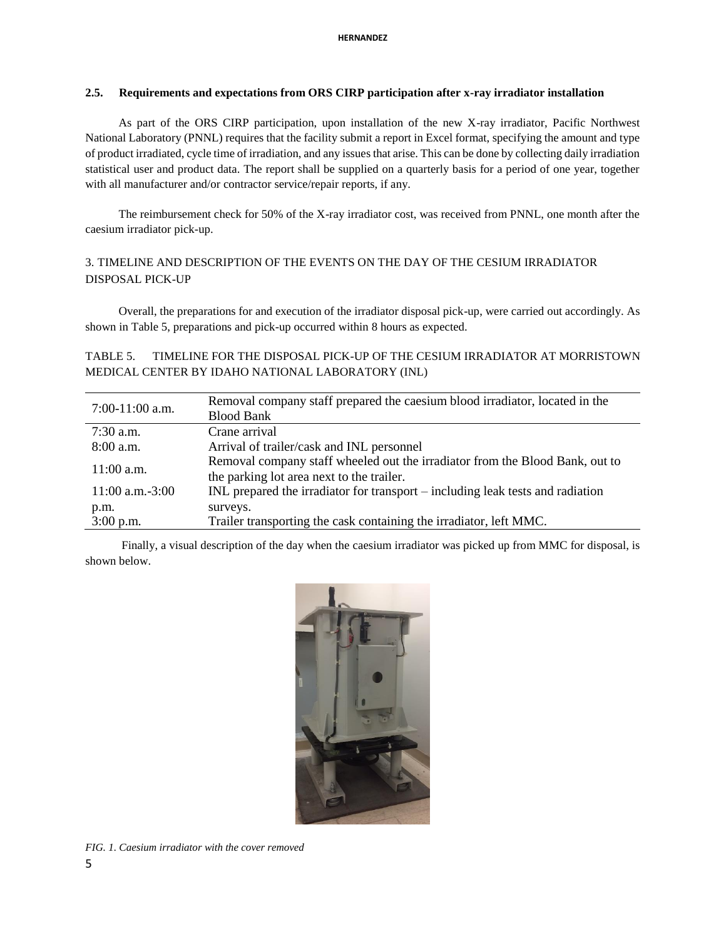### **2.5. Requirements and expectations from ORS CIRP participation after x-ray irradiator installation**

As part of the ORS CIRP participation, upon installation of the new X-ray irradiator, Pacific Northwest National Laboratory (PNNL) requires that the facility submit a report in Excel format, specifying the amount and type of product irradiated, cycle time of irradiation, and any issues that arise. This can be done by collecting daily irradiation statistical user and product data. The report shall be supplied on a quarterly basis for a period of one year, together with all manufacturer and/or contractor service/repair reports, if any.

The reimbursement check for 50% of the X-ray irradiator cost, was received from PNNL, one month after the caesium irradiator pick-up.

# 3. TIMELINE AND DESCRIPTION OF THE EVENTS ON THE DAY OF THE CESIUM IRRADIATOR DISPOSAL PICK-UP

Overall, the preparations for and execution of the irradiator disposal pick-up, were carried out accordingly. As shown in Table 5, preparations and pick-up occurred within 8 hours as expected.

# TABLE 5. TIMELINE FOR THE DISPOSAL PICK-UP OF THE CESIUM IRRADIATOR AT MORRISTOWN MEDICAL CENTER BY IDAHO NATIONAL LABORATORY (INL)

| $7:00-11:00$ a.m.    | Removal company staff prepared the caesium blood irradiator, located in the    |  |
|----------------------|--------------------------------------------------------------------------------|--|
|                      | <b>Blood Bank</b>                                                              |  |
| $7:30$ a.m.          | Crane arrival                                                                  |  |
| $8:00$ a.m.          | Arrival of trailer/cask and INL personnel                                      |  |
| $11:00$ a.m.         | Removal company staff wheeled out the irradiator from the Blood Bank, out to   |  |
|                      | the parking lot area next to the trailer.                                      |  |
| $11:00$ a.m. $-3:00$ | INL prepared the irradiator for transport – including leak tests and radiation |  |
| p.m.                 | surveys.                                                                       |  |
| $3:00$ p.m.          | Trailer transporting the cask containing the irradiator, left MMC.             |  |

Finally, a visual description of the day when the caesium irradiator was picked up from MMC for disposal, is shown below.



*FIG. 1. Caesium irradiator with the cover removed*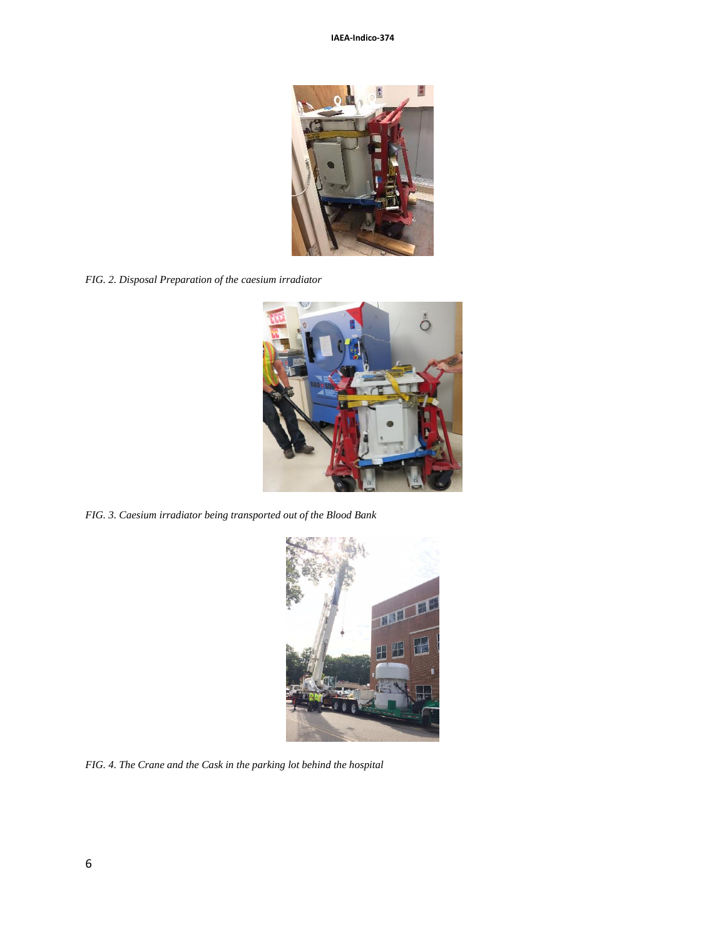

*FIG. 2. Disposal Preparation of the caesium irradiator*



*FIG. 3. Caesium irradiator being transported out of the Blood Bank*



*FIG. 4. The Crane and the Cask in the parking lot behind the hospital*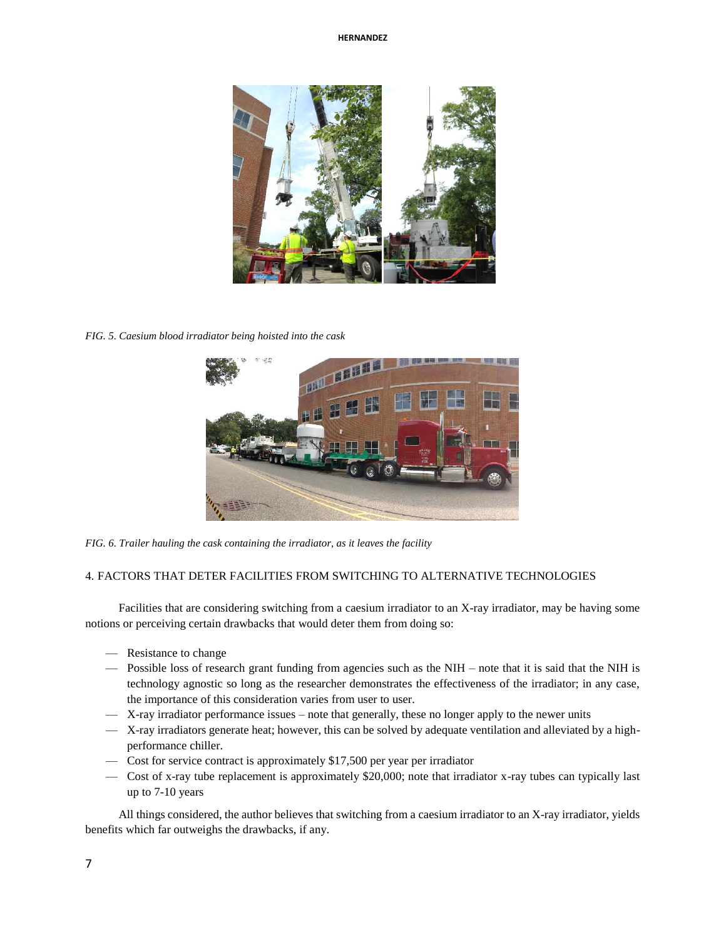

*FIG. 5. Caesium blood irradiator being hoisted into the cask*



*FIG. 6. Trailer hauling the cask containing the irradiator, as it leaves the facility*

# 4. FACTORS THAT DETER FACILITIES FROM SWITCHING TO ALTERNATIVE TECHNOLOGIES

Facilities that are considering switching from a caesium irradiator to an X-ray irradiator, may be having some notions or perceiving certain drawbacks that would deter them from doing so:

- Resistance to change
- Possible loss of research grant funding from agencies such as the NIH note that it is said that the NIH is technology agnostic so long as the researcher demonstrates the effectiveness of the irradiator; in any case, the importance of this consideration varies from user to user.
- X-ray irradiator performance issues note that generally, these no longer apply to the newer units
- X-ray irradiators generate heat; however, this can be solved by adequate ventilation and alleviated by a highperformance chiller.
- Cost for service contract is approximately \$17,500 per year per irradiator
- Cost of x-ray tube replacement is approximately \$20,000; note that irradiator x-ray tubes can typically last up to 7-10 years

All things considered, the author believes that switching from a caesium irradiator to an X-ray irradiator, yields benefits which far outweighs the drawbacks, if any.